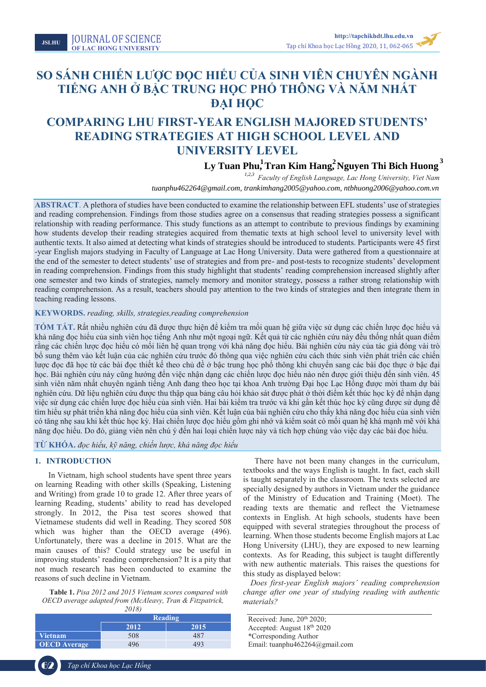Tạp chí Khoa học Lạc Hồng **2020**

# **SO SÁNH CHIẾN LƯỢC ĐỌC HIỂU CỦA SINH VIÊN CHUYÊN NGÀNH TIẾNG ANH Ở BẬC TRUNG HỌC PHỔ THÔNG VÀ NĂM NHẤT ĐẠI HỌC**

# **COMPARING LHU FIRST-YEAR ENGLISH MAJORED STUDENTS' READING STRATEGIES AT HIGH SCHOOL LEVEL AND UNIVERSITY LEVEL**

**Ly Tuan Phu, Tran Kim Hang, Nguyen Thi Bich Huong**<br> *tuanphu462264@gmail.com, trankimhang2005@yahoo.com, ntbhuong2006@yahoo.com.vn*<br> *tuanphu462264@gmail.com, trankimhang2005@yahoo.com, ntbhuong2006@yahoo.com.vn Faculty of English Language, Lac Hong University, Viet Nam tuanphu462264@gmail.com*

**ABSTRACT**. A plethora of studies have been conducted to examine the relationship between EFL students' use of strategies and reading comprehension. Findings from those studies agree on a consensus that reading strategies possess a significant relationship with reading performance. This study functions as an attempt to contribute to previous findings by examining how students develop their reading strategies acquired from thematic texts at high school level to university level with authentic texts. It also aimed at detecting what kinds of strategies should be introduced to students. Participants were 45 first -year English majors studying in Faculty of Language at Lac Hong University. Data were gathered from a questionnaire at the end of the semester to detect students' use of strategies and from pre- and post-tests to recognize students' development in reading comprehension. Findings from this study highlight that students' reading comprehension increased slightly after one semester and two kinds of strategies, namely memory and monitor strategy, possess a rather strong relationship with reading comprehension. As a result, teachers should pay attention to the two kinds of strategies and then integrate them in teaching reading lessons.

# **KEYWORDS.** *reading, skills, strategies,reading comprehension*

**TÓM TẮT.** Rất nhiều nghiên cứu đã được thực hiện để kiểm tra mối quan hệ giữa việc sử dụng các chiến lược đọc hiểu và khả năng đọc hiểu của sinh viên học tiếng Anh như một ngoại ngữ. Kết quả từ các nghiên cứu này đều thống nhất quan điểm rằng các chiến lược đọc hiểu có mối liên hệ quan trọng với khả năng đọc hiểu. Bài nghiên cứu này của tác giả đóng vài trò bổ sung thêm vào kết luận của các nghiên cứu trước đó thông qua việc nghiên cứu cách thức sinh viên phát triển các chiến lược đọc đã học từ các bài đọc thiết kế theo chủ đề ở bậc trung học phổ thông khi chuyển sang các bài đọc thực ở bậc đại học. Bài nghiên cứu này cũng hướng đến việc nhận dạng các chiến lược đọc hiểu nào nên được giới thiệu đến sinh viên. 45 sinh viên năm nhất chuyên ngành tiếng Anh đang theo học tại khoa Anh trường Đại học Lạc Hồng được mời tham dự bài nghiên cứu. Dữ liệu nghiên cứu được thu thập qua bảng câu hỏi khảo sát được phát ở thời điểm kết thúc học kỳ để nhận dạng việc sử dụng các chiến lược đọc hiểu của sinh viên. Hai bài kiểm tra trước và khi gần kết thúc học kỳ cũng được sử dụng để tìm hiểu sự phát triển khả năng đọc hiểu của sinh viên. Kết luận của bài nghiên cứu cho thấy khả năng đọc hiểu của sinh viên có tăng nhẹ sau khi kết thúc học kỳ. Hai chiến lược đọc hiểu gồm ghi nhớ và kiểm soát có mối quan hệ khá mạnh mẽ với khả năng đọc hiểu. Do đó, giảng viên nên chú ý đến hai loại chiến lược này và tích hợp chúng vào việc dạy các bài đọc hiểu.

# **TỪ KHÓA.** *đọc hiểu, kỹ năng, chiến lược, khả năng đọc hiểu*

# **1. INTRODUCTION**

In Vietnam, high school students have spent three years on learning Reading with other skills (Speaking, Listening and Writing) from grade 10 to grade 12. After three years of learning Reading, students' ability to read has developed strongly. In 2012, the Pisa test scores showed that Vietnamese students did well in Reading. They scored 508 which was higher than the OECD average (496). Unfortunately, there was a decline in 2015. What are the main causes of this? Could strategy use be useful in improving students' reading comprehension? It is a pity that not much research has been conducted to examine the reasons of such decline in Vietnam.

**Table 1.** *Pisa 2012 and 2015 Vietnam scores compared with OECD average adapted from (McAleavy, Tran & Fitzpatrick,* 

|                     | 2018)   |      |  |
|---------------------|---------|------|--|
|                     | Reading |      |  |
|                     | 2012    | 2015 |  |
| <b>Vietnam</b>      | 508     | 487  |  |
| <b>OECD</b> Average | 496     | 493  |  |

There have not been many changes in the curriculum, textbooks and the ways English is taught. In fact, each skill is taught separately in the classroom. The texts selected are specially designed by authors in Vietnam under the guidance of the Ministry of Education and Training (Moet). The reading texts are thematic and reflect the Vietnamese contexts in English. At high schools, students have been equipped with several strategies throughout the process of learning. When those students become English majors at Lac Hong University (LHU), they are exposed to new learning contexts. As for Reading, this subject is taught differently with new authentic materials. This raises the questions for this study as displayed below:

*Does first-year English majors' reading comprehension change after one year of studying reading with authentic materials?*

Received: June, 20<sup>th</sup> 2020; Accepted: August 18th 2020 \*Corresponding Author Email: tuanphu462264@gmail.com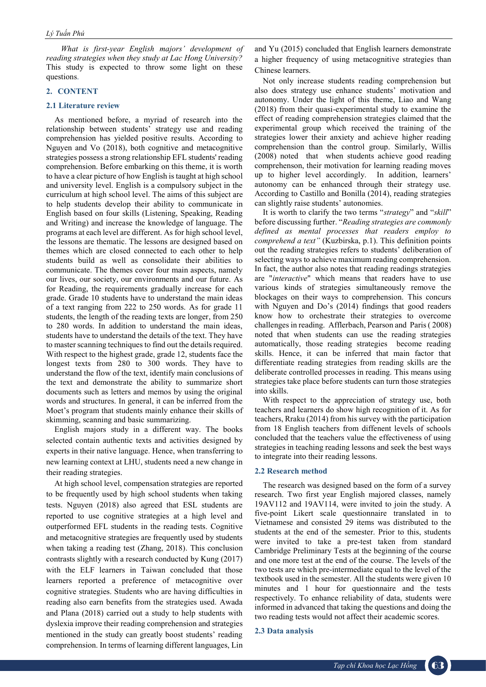*What is first-year English majors' development of reading strategies when they study at Lac Hong University?* This study is expected to throw some light on these questions.

# **2. CONTENT**

# **2.1 Literature review**

As mentioned before, a myriad of research into the relationship between students' strategy use and reading comprehension has yielded positive results. According to Nguyen and Vo (2018), both cognitive and metacognitive strategies possess a strong relationship EFL students' reading comprehension. Before embarking on this theme, it is worth to have a clear picture of how English is taught at high school and university level. English is a compulsory subject in the curriculum at high school level. The aims of this subject are to help students develop their ability to communicate in English based on four skills (Listening, Speaking, Reading and Writing) and increase the knowledge of language. The programs at each level are different. As for high school level, the lessons are thematic. The lessons are designed based on themes which are closed connected to each other to help students build as well as consolidate their abilities to communicate. The themes cover four main aspects, namely our lives, our society, our environments and our future. As for Reading, the requirements gradually increase for each grade. Grade 10 students have to understand the main ideas of a text ranging from 222 to 250 words. As for grade 11 students, the length of the reading texts are longer, from 250 to 280 words. In addition to understand the main ideas, students have to understand the details of the text. They have to master scanning techniques to find out the details required. With respect to the highest grade, grade 12, students face the longest texts from 280 to 300 words. They have to understand the flow of the text, identify main conclusions of the text and demonstrate the ability to summarize short documents such as letters and memos by using the original words and structures. In general, it can be inferred from the Moet's program that students mainly enhance their skills of skimming, scanning and basic summarizing.

English majors study in a different way. The books selected contain authentic texts and activities designed by experts in their native language. Hence, when transferring to new learning context at LHU, students need a new change in their reading strategies.

At high school level, compensation strategies are reported to be frequently used by high school students when taking tests. Nguyen (2018) also agreed that ESL students are reported to use cognitive strategies at a high level and outperformed EFL students in the reading tests. Cognitive and metacognitive strategies are frequently used by students when taking a reading test (Zhang, 2018). This conclusion contrasts slightly with a research conducted by Kung (2017) with the ELF learners in Taiwan concluded that those learners reported a preference of metacognitive over cognitive strategies. Students who are having difficulties in reading also earn benefits from the strategies used. Awada and Plana (2018) carried out a study to help students with dyslexia improve their reading comprehension and strategies mentioned in the study can greatly boost students' reading comprehension. In terms of learning different languages, Lin and Yu (2015) concluded that English learners demonstrate a higher frequency of using metacognitive strategies than Chinese learners.

Not only increase students reading comprehension but also does strategy use enhance students' motivation and autonomy. Under the light of this theme, Liao and Wang (2018) from their quasi-experimental study to examine the effect of reading comprehension strategies claimed that the experimental group which received the training of the strategies lower their anxiety and achieve higher reading comprehension than the control group. Similarly, Willis (2008) noted that when students achieve good reading comprehenson, their motivation for learning reading moves up to higher level accordingly. In addition, learners' autonomy can be enhanced through their strategy use. According to Castillo and Bonilla (2014), reading strategies can slightly raise students' autonomies.

It is worth to clarify the two terms "*strategy*" and "*skill*" before discussing further. "*Reading strategies are commonly defined as mental processes that readers employ to comprehend a text"* (Kuzbirska, p.1). This definition points out the reading strategies refers to students' deliberation of selecting ways to achieve maximum reading comprehension. In fact, the author also notes that reading readings strategies are "*interactive*" which means that readers have to use various kinds of strategies simultaneously remove the blockages on their ways to comprehension. This concurs with Nguyen and Do's (2014) findings that good readers know how to orchestrate their strategies to overcome challenges in reading. Afflerbach, Pearson and Paris ( 2008) noted that when students can use the reading strategies automatically, those reading strategies become reading skills. Hence, it can be inferred that main factor that differentiate reading strategies from reading skills are the deliberate controlled processes in reading. This means using strategies take place before students can turn those strategies into skills.

With respect to the appreciation of strategy use, both teachers and learners do show high recognition of it. As for teachers, Rraku (2014) from his survey with the participation from 18 English teachers from diffenent levels of schools concluded that the teachers value the effectiveness of using strategies in teaching reading lessons and seek the best ways to integrate into their reading lessons.

### **2.2 Research method**

The research was designed based on the form of a survey research. Two first year English majored classes, namely 19AV112 and 19AV114, were invited to join the study. A five-point Likert scale questionnaire translated in to Vietnamese and consisted 29 items was distributed to the students at the end of the semester. Prior to this, students were invited to take a pre-test taken from standard Cambridge Preliminary Tests at the beginning of the course and one more test at the end of the course. The levels of the two tests are which pre-intermediate equal to the level of the textbook used in the semester. All the students were given 10 minutes and 1 hour for questionnaire and the tests respectively. To enhance reliability of data, students were informed in advanced that taking the questions and doing the two reading tests would not affect their academic scores.

#### **2.3 Data analysis**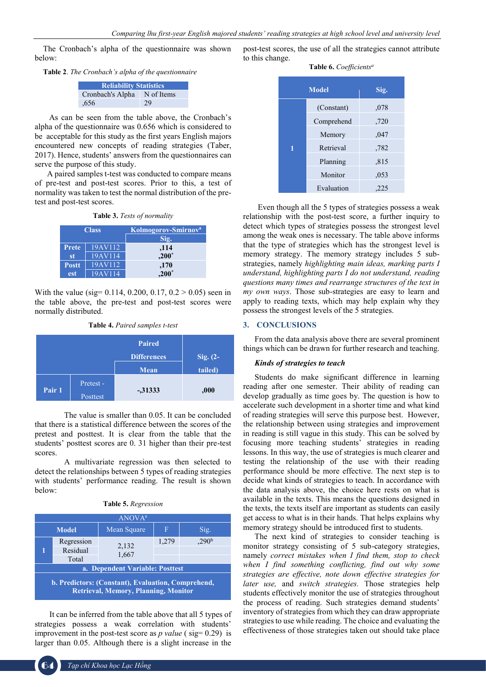The Cronbach's alpha of the questionnaire was shown below:

**Table 2**. *The Cronbach's alpha of the questionnaire*

| <b>Reliability Statistics</b> |            |  |
|-------------------------------|------------|--|
| Cronbach's Alpha              | N of Items |  |
| .656                          | 29         |  |

 As can be seen from the table above, the Cronbach's alpha of the questionnaire was 0.656 which is considered to be acceptable for this study as the first years English majors encountered new concepts of reading strategies (Taber, 2017). Hence, students' answers from the questionnaires can serve the purpose of this study.

 A paired samples t-test was conducted to compare means of pre-test and post-test scores. Prior to this, a test of normality was taken to test the normal distribution of the pretest and post-test scores.

|              | <b>Class</b> | Kolmogorov-Smirnov <sup>a</sup> |
|--------------|--------------|---------------------------------|
|              |              | Sig.                            |
| <b>Prete</b> | 19AV112      | ,114                            |
| st           | 19AV114      | $,200*$                         |
| <b>Postt</b> | 19AV112      | ,170                            |
| est          | 19AV114      | $.200*$                         |

With the value (sig=  $0.114, 0.200, 0.17, 0.2 \ge 0.05$ ) seen in the table above, the pre-test and post-test scores were normally distributed.

**Table 4.** *Paired samples t-test*

|        |                       | <b>Paired</b>      |            |
|--------|-----------------------|--------------------|------------|
|        |                       | <b>Differences</b> | Sig. $(2-$ |
|        |                       | Mean               | tailed)    |
| Pair 1 | Pretest -<br>Posttest | $-31333$           | ,000       |

The value is smaller than 0.05. It can be concluded that there is a statistical difference between the scores of the pretest and posttest. It is clear from the table that the students' posttest scores are 0. 31 higher than their pre-test scores.

A multivariate regression was then selected to detect the relationships between 5 types of reading strategies with students' performance reading. The result is shown below:

| <b>Table 5.</b> Regression |  |
|----------------------------|--|
| $1.3.7 \wedge 3.7.1.0$     |  |

| ANOVA <sup>a</sup>                                                                                       |              |                |       |                   |
|----------------------------------------------------------------------------------------------------------|--------------|----------------|-------|-------------------|
|                                                                                                          | <b>Model</b> | Mean Square    | F     | Sig.              |
|                                                                                                          | Regression   |                | 1,279 | .290 <sup>b</sup> |
|                                                                                                          | Residual     | 2,132<br>1,667 |       |                   |
|                                                                                                          | Total        |                |       |                   |
| a. Dependent Variable: Posttest                                                                          |              |                |       |                   |
| <b>b. Predictors: (Constant), Evaluation, Comprehend,</b><br><b>Retrieval, Memory, Planning, Monitor</b> |              |                |       |                   |

It can be inferred from the table above that all 5 types of strategies possess a weak correlation with students' improvement in the post-test score as  $p$  value ( $sig = 0.29$ ) is larger than 0.05. Although there is a slight increase in the

post-test scores, the use of all the strategies cannot attribute to this change.

# **Table 6.** *Coefficientsa*

| <b>Model</b> |            | Sig. |
|--------------|------------|------|
|              | (Constant) | ,078 |
|              | Comprehend | ,720 |
|              | Memory     | ,047 |
|              | Retrieval  | .782 |
|              | Planning   | .815 |
|              | Monitor    | ,053 |
|              | Evaluation | ,225 |

Even though all the 5 types of strategies possess a weak relationship with the post-test score, a further inquiry to detect which types of strategies possess the strongest level among the weak ones is necessary. The table above informs that the type of strategies which has the strongest level is memory strategy. The memory strategy includes 5 substrategies, namely *highlighting main ideas, marking parts I understand, highlighting parts I do not understand, reading questions many times and rearrange structures of the text in my own ways*. Those sub-strategies are easy to learn and apply to reading texts, which may help explain why they possess the strongest levels of the 5 strategies.

# **3. CONCLUSIONS**

From the data analysis above there are several prominent things which can be drawn for further research and teaching.

# *Kinds of strategies to teach*

Students do make significant difference in learning reading after one semester. Their ability of reading can develop gradually as time goes by. The question is how to accelerate such development in a shorter time and what kind of reading strategies will serve this purpose best. However, the relationship between using strategies and improvement in reading is still vague in this study. This can be solved by focusing more teaching students' strategies in reading lessons. In this way, the use of strategies is much clearer and testing the relationship of the use with their reading performance should be more effective. The next step is to decide what kinds of strategies to teach. In accordance with the data analysis above, the choice here rests on what is available in the texts. This means the questions designed in the texts, the texts itself are important as students can easily get access to what is in their hands. That helps explains why memory strategy should be introduced first to students.

The next kind of strategies to consider teaching is monitor strategy consisting of 5 sub-category strategies, namely *correct mistakes when I find them, stop to check when I find something conflicting, find out why some strategies are effective, note down effective strategies for later use,* and *switch strategies.* Those strategies help students effectively monitor the use of strategies throughout the process of reading. Such strategies demand students' inventory of strategies from which they can draw appropriate strategies to use while reading. The choice and evaluating the effectiveness of those strategies taken out should take place